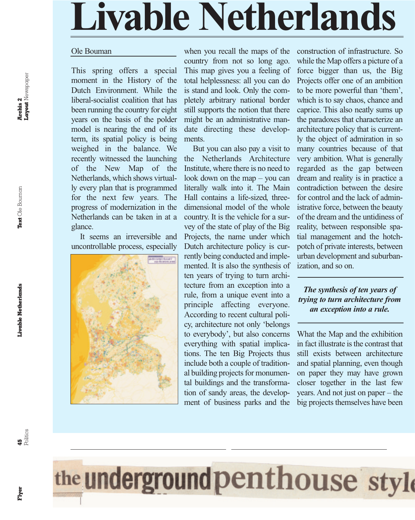## **Livable Netherlands**

#### Ole Bouman

This spring offers a special moment in the History of the Dutch Environment. While the liberal-socialist coalition that has been running the country for eight years on the basis of the polder model is nearing the end of its term, its spatial policy is being weighed in the balance. We recently witnessed the launching of the New Map of the Netherlands, which shows virtually every plan that is programmed for the next few years. The progress of modernization in the Netherlands can be taken in at a glance.

It seems an irreversible and uncontrollable process, especially



when you recall the maps of the country from not so long ago. This map gives you a feeling of total helplessness: all you can do is stand and look. Only the completely arbitrary national border still supports the notion that there might be an administrative mandate directing these developments.

But you can also pay a visit to the Netherlands Architecture Institute, where there is no need to look down on the map – you can literally walk into it. The Main Hall contains a life-sized, threedimensional model of the whole country. It is the vehicle for a survey of the state of play of the Big Projects, the name under which Dutch architecture policy is currently being conducted and implemented. It is also the synthesis of ten years of trying to turn architecture from an exception into a rule, from a unique event into a principle affecting everyone. According to recent cultural policy, architecture not only 'belongs to everybody', but also concerns everything with spatial implications. The ten Big Projects thus include both a couple of traditional building projects for monumental buildings and the transformation of sandy areas, the developconstruction of infrastructure. So while the Map offers a picture of a force bigger than us, the Big Projects offer one of an ambition to be more powerful than 'them', which is to say chaos, chance and caprice. This also neatly sums up the paradoxes that characterize an architecture policy that is currently the object of admiration in so many countries because of that very ambition. What is generally regarded as the gap between dream and reality is in practice a contradiction between the desire for control and the lack of administrative force, between the beauty of the dream and the untidiness of reality, between responsible spatial management and the hotchpotch of private interests, between urban development and suburbanization, and so on.

### *The synthesis of ten years of trying to turn architecture from an exception into a rule.*

What the Map and the exhibition in fact illustrate is the contrast that still exists between architecture and spatial planning, even though on paper they may have grown closer together in the last few years. And not just on paper – the big projects themselves have been



ment of business parks and the

**Flyer**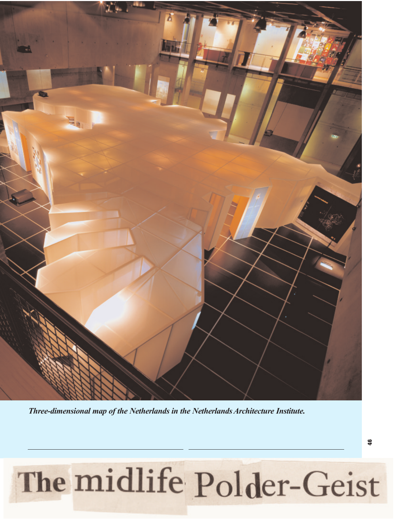

*Three-dimensional map of the Netherlands in the Netherlands Architecture Institute.*

# The midlife Polder-Geist

**46**